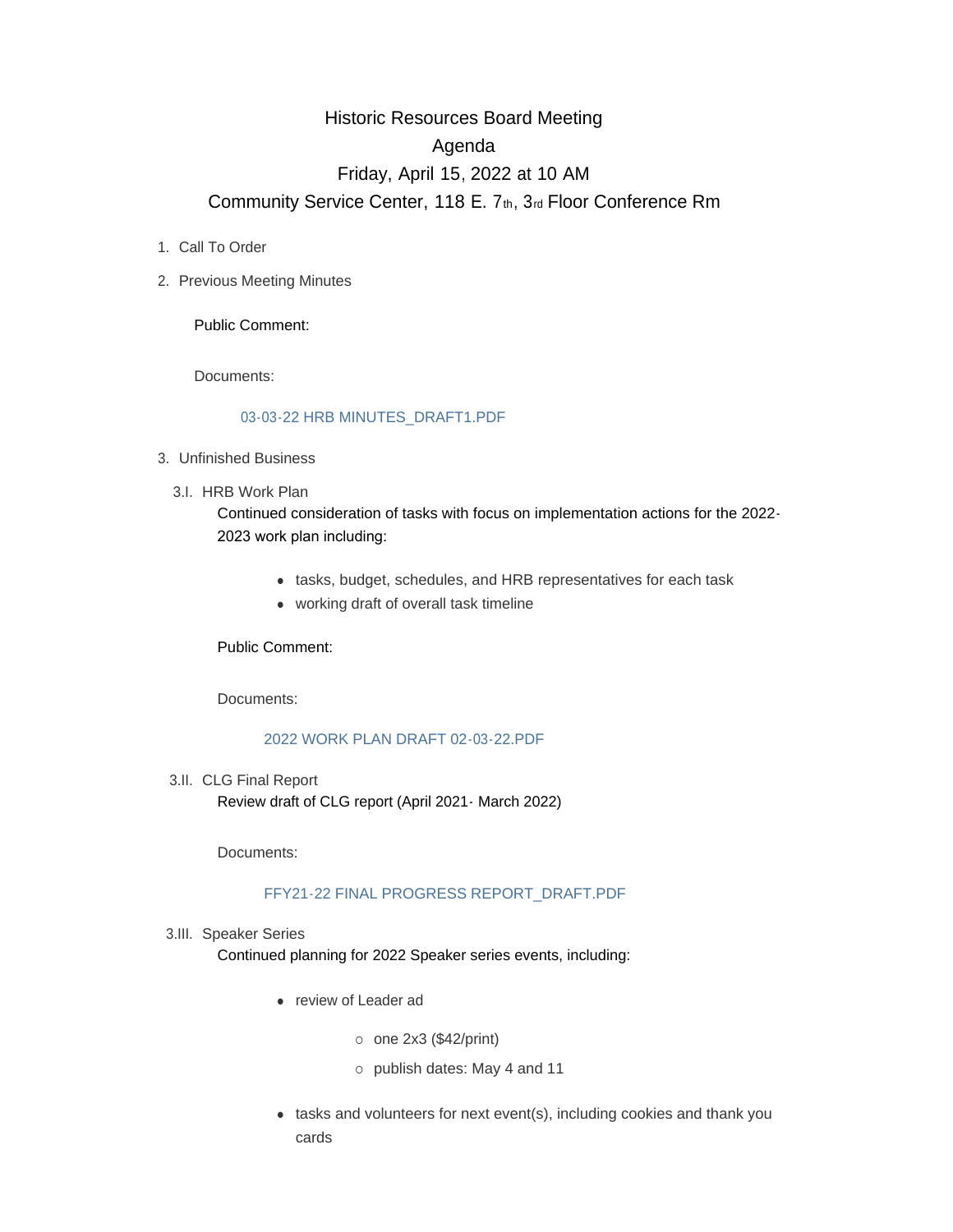# Historic Resources Board Meeting Agenda Friday, April 15, 2022 at 10 AM Community Service Center, 118 E. 7th, 3rd Floor Conference Rm

- 1. Call To Order
- 2. Previous Meeting Minutes

Public Comment:

Documents:

#### [03-03-22 HRB MINUTES\\_DRAFT1.PDF](https://www.adlc.us/AgendaCenter/ViewFile/Item/318?fileID=539)

- Unfinished Business 3.
	- 3.I. HRB Work Plan

Continued consideration of tasks with focus on implementation actions for the 2022- 2023 work plan including:

- tasks, budget, schedules, and HRB representatives for each task
- working draft of overall task timeline

Public Comment:

Documents:

# [2022 WORK PLAN DRAFT 02-03-22.PDF](https://www.adlc.us/AgendaCenter/ViewFile/Item/320?fileID=540)

3.II. CLG Final Report Review draft of CLG report (April 2021- March 2022)

Documents:

# [FFY21-22 FINAL PROGRESS REPORT\\_DRAFT.PDF](https://www.adlc.us/AgendaCenter/ViewFile/Item/315?fileID=537)

#### 3.III. Speaker Series

Continued planning for 2022 Speaker series events, including:

- review of Leader ad
	- $\circ$  one 2x3 (\$42/print)
	- ¡ publish dates: May 4 and 11
- $\bullet$  tasks and volunteers for next event(s), including cookies and thank you cards